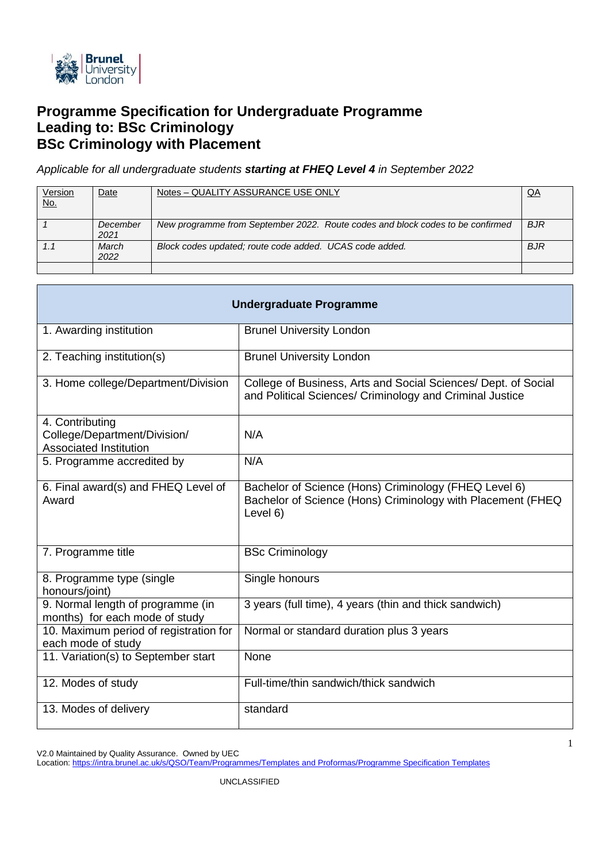

# **Programme Specification for Undergraduate Programme Leading to: BSc Criminology BSc Criminology with Placement**

*Applicable for all undergraduate students starting at FHEQ Level 4 in September 2022*

| <b>Version</b><br><u>No.</u> | Date             | Notes - QUALITY ASSURANCE USE ONLY                                             | QA         |
|------------------------------|------------------|--------------------------------------------------------------------------------|------------|
|                              | December<br>2021 | New programme from September 2022. Route codes and block codes to be confirmed | <b>BJR</b> |
|                              | March<br>2022    | Block codes updated; route code added. UCAS code added.                        | <b>BJR</b> |
|                              |                  |                                                                                |            |

| <b>Undergraduate Programme</b>                                                   |                                                                                                                                  |  |  |
|----------------------------------------------------------------------------------|----------------------------------------------------------------------------------------------------------------------------------|--|--|
| 1. Awarding institution                                                          | <b>Brunel University London</b>                                                                                                  |  |  |
| 2. Teaching institution(s)                                                       | <b>Brunel University London</b>                                                                                                  |  |  |
| 3. Home college/Department/Division                                              | College of Business, Arts and Social Sciences/ Dept. of Social<br>and Political Sciences/ Criminology and Criminal Justice       |  |  |
| 4. Contributing<br>College/Department/Division/<br><b>Associated Institution</b> | N/A                                                                                                                              |  |  |
| 5. Programme accredited by                                                       | N/A                                                                                                                              |  |  |
| 6. Final award(s) and FHEQ Level of<br>Award                                     | Bachelor of Science (Hons) Criminology (FHEQ Level 6)<br>Bachelor of Science (Hons) Criminology with Placement (FHEQ<br>Level 6) |  |  |
| 7. Programme title                                                               | <b>BSc Criminology</b>                                                                                                           |  |  |
| 8. Programme type (single<br>honours/joint)                                      | Single honours                                                                                                                   |  |  |
| 9. Normal length of programme (in<br>months) for each mode of study              | 3 years (full time), 4 years (thin and thick sandwich)                                                                           |  |  |
| 10. Maximum period of registration for<br>each mode of study                     | Normal or standard duration plus 3 years                                                                                         |  |  |
| 11. Variation(s) to September start                                              | None                                                                                                                             |  |  |
| 12. Modes of study                                                               | Full-time/thin sandwich/thick sandwich                                                                                           |  |  |
| 13. Modes of delivery                                                            | standard                                                                                                                         |  |  |

V2.0 Maintained by Quality Assurance. Owned by UEC

Location[: https://intra.brunel.ac.uk/s/QSO/Team/Programmes/Templates and Proformas/Programme Specification Templates](https://intra.brunel.ac.uk/s/QSO/Team/Programmes/Templates%20and%20Proformas/Programme%20Specification%20Templates)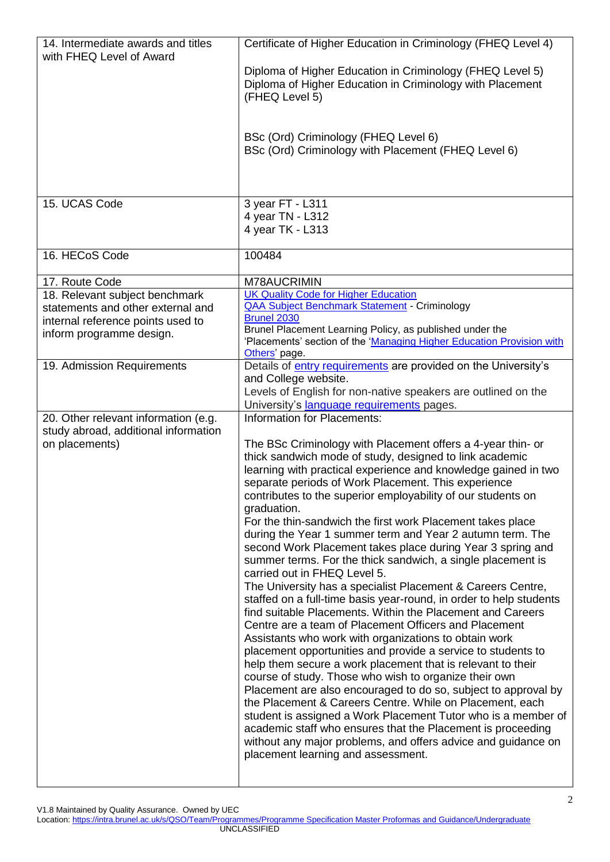| 14. Intermediate awards and titles<br>with FHEQ Level of Award                                                                       | Certificate of Higher Education in Criminology (FHEQ Level 4)<br>Diploma of Higher Education in Criminology (FHEQ Level 5)<br>Diploma of Higher Education in Criminology with Placement<br>(FHEQ Level 5)<br>BSc (Ord) Criminology (FHEQ Level 6)<br>BSc (Ord) Criminology with Placement (FHEQ Level 6)                                                                                                                                                                                                                                                                                                                                                                                                                                                                                                                                                                                                                                                                                                                                                                                                                                                                                                                                                                                                                                                                                                                                                                                                                                |
|--------------------------------------------------------------------------------------------------------------------------------------|-----------------------------------------------------------------------------------------------------------------------------------------------------------------------------------------------------------------------------------------------------------------------------------------------------------------------------------------------------------------------------------------------------------------------------------------------------------------------------------------------------------------------------------------------------------------------------------------------------------------------------------------------------------------------------------------------------------------------------------------------------------------------------------------------------------------------------------------------------------------------------------------------------------------------------------------------------------------------------------------------------------------------------------------------------------------------------------------------------------------------------------------------------------------------------------------------------------------------------------------------------------------------------------------------------------------------------------------------------------------------------------------------------------------------------------------------------------------------------------------------------------------------------------------|
| 15. UCAS Code                                                                                                                        | 3 year FT - L311<br>4 year TN - L312<br>4 year TK - L313                                                                                                                                                                                                                                                                                                                                                                                                                                                                                                                                                                                                                                                                                                                                                                                                                                                                                                                                                                                                                                                                                                                                                                                                                                                                                                                                                                                                                                                                                |
| 16. HECoS Code                                                                                                                       | 100484                                                                                                                                                                                                                                                                                                                                                                                                                                                                                                                                                                                                                                                                                                                                                                                                                                                                                                                                                                                                                                                                                                                                                                                                                                                                                                                                                                                                                                                                                                                                  |
| 17. Route Code                                                                                                                       | M78AUCRIMIN                                                                                                                                                                                                                                                                                                                                                                                                                                                                                                                                                                                                                                                                                                                                                                                                                                                                                                                                                                                                                                                                                                                                                                                                                                                                                                                                                                                                                                                                                                                             |
| 18. Relevant subject benchmark<br>statements and other external and<br>internal reference points used to<br>inform programme design. | <b>UK Quality Code for Higher Education</b><br><b>QAA Subject Benchmark Statement - Criminology</b><br>Brunel 2030<br>Brunel Placement Learning Policy, as published under the<br>'Placements' section of the 'Managing Higher Education Provision with<br>Others' page.                                                                                                                                                                                                                                                                                                                                                                                                                                                                                                                                                                                                                                                                                                                                                                                                                                                                                                                                                                                                                                                                                                                                                                                                                                                                |
| 19. Admission Requirements                                                                                                           | Details of entry requirements are provided on the University's<br>and College website.<br>Levels of English for non-native speakers are outlined on the<br>University's language requirements pages.                                                                                                                                                                                                                                                                                                                                                                                                                                                                                                                                                                                                                                                                                                                                                                                                                                                                                                                                                                                                                                                                                                                                                                                                                                                                                                                                    |
| 20. Other relevant information (e.g.<br>study abroad, additional information<br>on placements)                                       | Information for Placements:<br>The BSc Criminology with Placement offers a 4-year thin- or<br>thick sandwich mode of study, designed to link academic<br>learning with practical experience and knowledge gained in two<br>separate periods of Work Placement. This experience<br>contributes to the superior employability of our students on<br>graduation.<br>For the thin-sandwich the first work Placement takes place<br>during the Year 1 summer term and Year 2 autumn term. The<br>second Work Placement takes place during Year 3 spring and<br>summer terms. For the thick sandwich, a single placement is<br>carried out in FHEQ Level 5.<br>The University has a specialist Placement & Careers Centre,<br>staffed on a full-time basis year-round, in order to help students<br>find suitable Placements. Within the Placement and Careers<br>Centre are a team of Placement Officers and Placement<br>Assistants who work with organizations to obtain work<br>placement opportunities and provide a service to students to<br>help them secure a work placement that is relevant to their<br>course of study. Those who wish to organize their own<br>Placement are also encouraged to do so, subject to approval by<br>the Placement & Careers Centre. While on Placement, each<br>student is assigned a Work Placement Tutor who is a member of<br>academic staff who ensures that the Placement is proceeding<br>without any major problems, and offers advice and guidance on<br>placement learning and assessment. |

V1.8 Maintained by Quality Assurance. Owned by UEC

Location[: https://intra.brunel.ac.uk/s/QSO/Team/Programmes/Programme Specification Master Proformas and Guidance/Undergraduate](https://intra.brunel.ac.uk/s/QSO/Team/Programmes/Templates%20and%20Proformas/Undergraduate) UNCLASSIFIED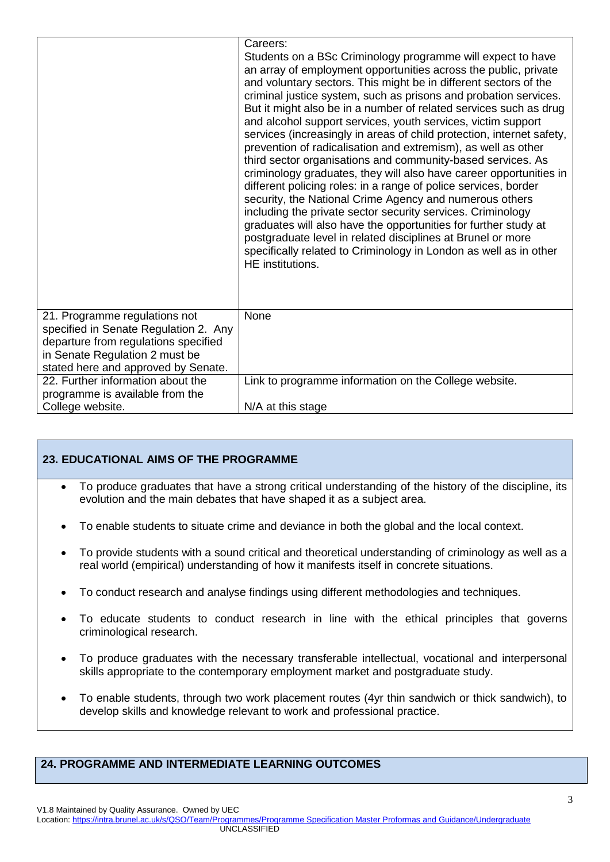| Students on a BSc Criminology programme will expect to have<br>an array of employment opportunities across the public, private<br>and voluntary sectors. This might be in different sectors of the<br>criminal justice system, such as prisons and probation services.<br>But it might also be in a number of related services such as drug<br>and alcohol support services, youth services, victim support<br>services (increasingly in areas of child protection, internet safety,<br>prevention of radicalisation and extremism), as well as other<br>third sector organisations and community-based services. As<br>criminology graduates, they will also have career opportunities in<br>different policing roles: in a range of police services, border<br>security, the National Crime Agency and numerous others<br>including the private sector security services. Criminology<br>graduates will also have the opportunities for further study at<br>postgraduate level in related disciplines at Brunel or more<br>specifically related to Criminology in London as well as in other<br>HE institutions. |
|--------------------------------------------------------------------------------------------------------------------------------------------------------------------------------------------------------------------------------------------------------------------------------------------------------------------------------------------------------------------------------------------------------------------------------------------------------------------------------------------------------------------------------------------------------------------------------------------------------------------------------------------------------------------------------------------------------------------------------------------------------------------------------------------------------------------------------------------------------------------------------------------------------------------------------------------------------------------------------------------------------------------------------------------------------------------------------------------------------------------|
| None                                                                                                                                                                                                                                                                                                                                                                                                                                                                                                                                                                                                                                                                                                                                                                                                                                                                                                                                                                                                                                                                                                               |
| Link to programme information on the College website.<br>N/A at this stage                                                                                                                                                                                                                                                                                                                                                                                                                                                                                                                                                                                                                                                                                                                                                                                                                                                                                                                                                                                                                                         |
|                                                                                                                                                                                                                                                                                                                                                                                                                                                                                                                                                                                                                                                                                                                                                                                                                                                                                                                                                                                                                                                                                                                    |

### **23. EDUCATIONAL AIMS OF THE PROGRAMME**

- To produce graduates that have a strong critical understanding of the history of the discipline, its evolution and the main debates that have shaped it as a subject area.
- To enable students to situate crime and deviance in both the global and the local context.
- To provide students with a sound critical and theoretical understanding of criminology as well as a real world (empirical) understanding of how it manifests itself in concrete situations.
- To conduct research and analyse findings using different methodologies and techniques.
- To educate students to conduct research in line with the ethical principles that governs criminological research.
- To produce graduates with the necessary transferable intellectual, vocational and interpersonal skills appropriate to the contemporary employment market and postgraduate study.
- To enable students, through two work placement routes (4yr thin sandwich or thick sandwich), to develop skills and knowledge relevant to work and professional practice.

#### **24. PROGRAMME AND INTERMEDIATE LEARNING OUTCOMES**

V1.8 Maintained by Quality Assurance. Owned by UEC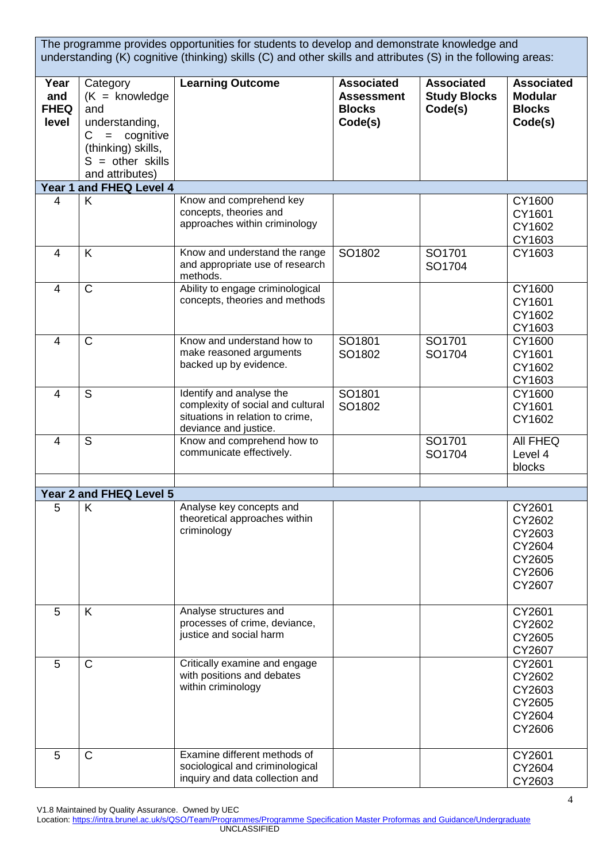| The programme provides opportunities for students to develop and demonstrate knowledge and<br>understanding (K) cognitive (thinking) skills (C) and other skills and attributes (S) in the following areas: |                                                                                                                                                     |                                                                                                                            |                                                                    |                                                     |                                                                    |
|-------------------------------------------------------------------------------------------------------------------------------------------------------------------------------------------------------------|-----------------------------------------------------------------------------------------------------------------------------------------------------|----------------------------------------------------------------------------------------------------------------------------|--------------------------------------------------------------------|-----------------------------------------------------|--------------------------------------------------------------------|
| Year<br>and<br><b>FHEQ</b><br>level                                                                                                                                                                         | Category<br>$(K =$ knowledge<br>and<br>understanding,<br>C.<br>$\equiv$<br>cognitive<br>(thinking) skills,<br>$S = other skills$<br>and attributes) | <b>Learning Outcome</b>                                                                                                    | <b>Associated</b><br><b>Assessment</b><br><b>Blocks</b><br>Code(s) | <b>Associated</b><br><b>Study Blocks</b><br>Code(s) | <b>Associated</b><br><b>Modular</b><br><b>Blocks</b><br>Code(s)    |
|                                                                                                                                                                                                             | Year 1 and FHEQ Level 4                                                                                                                             |                                                                                                                            |                                                                    |                                                     |                                                                    |
| 4                                                                                                                                                                                                           | K                                                                                                                                                   | Know and comprehend key<br>concepts, theories and<br>approaches within criminology                                         |                                                                    |                                                     | CY1600<br>CY1601<br>CY1602<br>CY1603                               |
| $\overline{4}$                                                                                                                                                                                              | K                                                                                                                                                   | Know and understand the range<br>and appropriate use of research<br>methods.                                               | SO1802                                                             | SO1701<br>SO1704                                    | CY1603                                                             |
| $\overline{4}$                                                                                                                                                                                              | $\mathsf{C}$                                                                                                                                        | Ability to engage criminological<br>concepts, theories and methods                                                         |                                                                    |                                                     | CY1600<br>CY1601<br>CY1602<br>CY1603                               |
| $\overline{4}$                                                                                                                                                                                              | $\mathsf C$                                                                                                                                         | Know and understand how to<br>make reasoned arguments<br>backed up by evidence.                                            | SO1801<br>SO1802                                                   | SO1701<br>SO1704                                    | CY1600<br>CY1601<br>CY1602<br>CY1603                               |
| $\overline{4}$                                                                                                                                                                                              | S                                                                                                                                                   | Identify and analyse the<br>complexity of social and cultural<br>situations in relation to crime,<br>deviance and justice. | SO1801<br>SO1802                                                   |                                                     | CY1600<br>CY1601<br>CY1602                                         |
| $\overline{4}$                                                                                                                                                                                              | S                                                                                                                                                   | Know and comprehend how to<br>communicate effectively.                                                                     |                                                                    | SO1701<br>SO1704                                    | <b>AII FHEQ</b><br>Level 4<br>blocks                               |
|                                                                                                                                                                                                             | Year 2 and FHEQ Level 5                                                                                                                             |                                                                                                                            |                                                                    |                                                     |                                                                    |
| 5                                                                                                                                                                                                           | K                                                                                                                                                   | Analyse key concepts and<br>theoretical approaches within<br>criminology                                                   |                                                                    |                                                     | CY2601<br>CY2602<br>CY2603<br>CY2604<br>CY2605<br>CY2606<br>CY2607 |
| 5                                                                                                                                                                                                           | K                                                                                                                                                   | Analyse structures and<br>processes of crime, deviance,<br>justice and social harm                                         |                                                                    |                                                     | CY2601<br>CY2602<br>CY2605<br>CY2607                               |
| 5                                                                                                                                                                                                           | $\mathsf{C}$                                                                                                                                        | Critically examine and engage<br>with positions and debates<br>within criminology                                          |                                                                    |                                                     | CY2601<br>CY2602<br>CY2603<br>CY2605<br>CY2604<br>CY2606           |
| 5                                                                                                                                                                                                           | $\mathsf{C}$                                                                                                                                        | Examine different methods of<br>sociological and criminological<br>inquiry and data collection and                         |                                                                    |                                                     | CY2601<br>CY2604<br>CY2603                                         |

V1.8 Maintained by Quality Assurance. Owned by UEC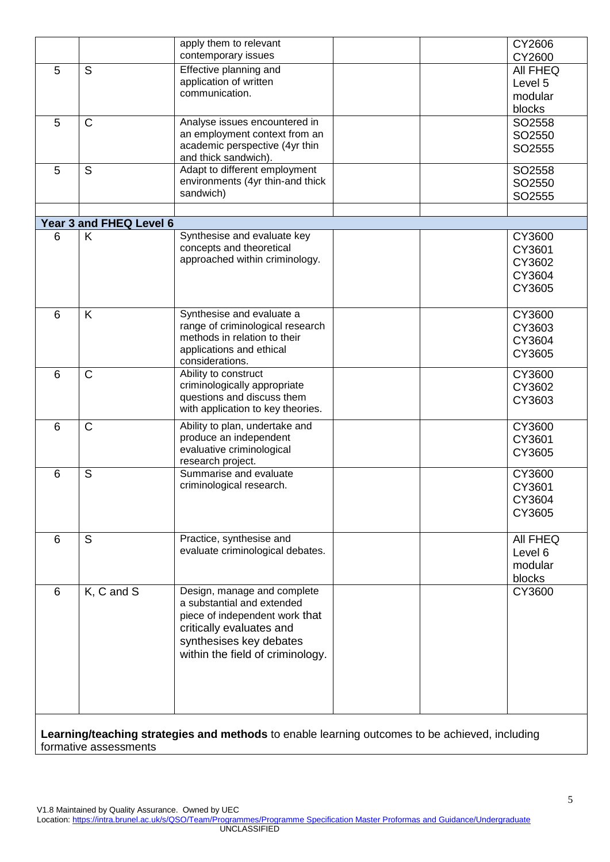|                |                         | apply them to relevant            | CY2606   |
|----------------|-------------------------|-----------------------------------|----------|
|                |                         | contemporary issues               | CY2600   |
| 5              | S                       | Effective planning and            | All FHEQ |
|                |                         | application of written            | Level 5  |
|                |                         | communication.                    | modular  |
|                |                         |                                   | blocks   |
| 5              | C                       | Analyse issues encountered in     | SO2558   |
|                |                         | an employment context from an     | SO2550   |
|                |                         | academic perspective (4yr thin    | SO2555   |
|                |                         | and thick sandwich).              |          |
| 5              | S                       | Adapt to different employment     | SO2558   |
|                |                         | environments (4yr thin-and thick  | SO2550   |
|                |                         | sandwich)                         | SO2555   |
|                |                         |                                   |          |
|                | Year 3 and FHEQ Level 6 |                                   |          |
| 6              | K                       | Synthesise and evaluate key       | CY3600   |
|                |                         | concepts and theoretical          |          |
|                |                         | approached within criminology.    | CY3601   |
|                |                         |                                   | CY3602   |
|                |                         |                                   | CY3604   |
|                |                         |                                   | CY3605   |
|                |                         |                                   |          |
| 6              | Κ                       | Synthesise and evaluate a         | CY3600   |
|                |                         | range of criminological research  | CY3603   |
|                |                         | methods in relation to their      | CY3604   |
|                |                         | applications and ethical          | CY3605   |
|                |                         | considerations.                   |          |
| 6              | C                       | Ability to construct              | CY3600   |
|                |                         | criminologically appropriate      | CY3602   |
|                |                         | questions and discuss them        | CY3603   |
|                |                         | with application to key theories. |          |
| $6\phantom{1}$ | C                       | Ability to plan, undertake and    | CY3600   |
|                |                         | produce an independent            | CY3601   |
|                |                         | evaluative criminological         | CY3605   |
|                |                         | research project.                 |          |
| 6              | S                       | Summarise and evaluate            | CY3600   |
|                |                         | criminological research.          | CY3601   |
|                |                         |                                   | CY3604   |
|                |                         |                                   | CY3605   |
|                |                         |                                   |          |
| 6              | S                       | Practice, synthesise and          | All FHEQ |
|                |                         | evaluate criminological debates.  | Level 6  |
|                |                         |                                   | modular  |
|                |                         |                                   | blocks   |
| 6              | K, C and S              | Design, manage and complete       | CY3600   |
|                |                         | a substantial and extended        |          |
|                |                         | piece of independent work that    |          |
|                |                         | critically evaluates and          |          |
|                |                         | synthesises key debates           |          |
|                |                         | within the field of criminology.  |          |
|                |                         |                                   |          |
|                |                         |                                   |          |
|                |                         |                                   |          |
|                |                         |                                   |          |
|                |                         |                                   |          |

#### **Learning/teaching strategies and methods** to enable learning outcomes to be achieved, including formative assessments

Location[: https://intra.brunel.ac.uk/s/QSO/Team/Programmes/Programme Specification Master Proformas and Guidance/Undergraduate](https://intra.brunel.ac.uk/s/QSO/Team/Programmes/Templates%20and%20Proformas/Undergraduate) **UNCLASSIFIED**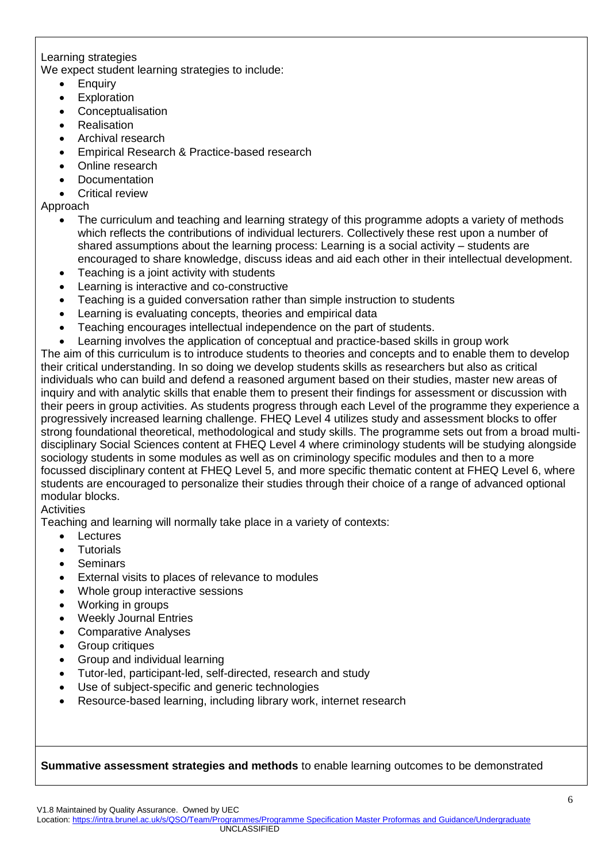## Learning strategies

We expect student learning strategies to include:

- **Enquiry** 
	- **Exploration**
- Conceptualisation
- Realisation
- Archival research
- Empirical Research & Practice-based research
- Online research
- Documentation
- Critical review

## Approach

- The curriculum and teaching and learning strategy of this programme adopts a variety of methods which reflects the contributions of individual lecturers. Collectively these rest upon a number of shared assumptions about the learning process: Learning is a social activity – students are encouraged to share knowledge, discuss ideas and aid each other in their intellectual development.
- Teaching is a joint activity with students
- Learning is interactive and co-constructive
- Teaching is a guided conversation rather than simple instruction to students
- Learning is evaluating concepts, theories and empirical data
- Teaching encourages intellectual independence on the part of students.
- Learning involves the application of conceptual and practice-based skills in group work

The aim of this curriculum is to introduce students to theories and concepts and to enable them to develop their critical understanding. In so doing we develop students skills as researchers but also as critical individuals who can build and defend a reasoned argument based on their studies, master new areas of inquiry and with analytic skills that enable them to present their findings for assessment or discussion with their peers in group activities. As students progress through each Level of the programme they experience a progressively increased learning challenge. FHEQ Level 4 utilizes study and assessment blocks to offer strong foundational theoretical, methodological and study skills. The programme sets out from a broad multidisciplinary Social Sciences content at FHEQ Level 4 where criminology students will be studying alongside sociology students in some modules as well as on criminology specific modules and then to a more focussed disciplinary content at FHEQ Level 5, and more specific thematic content at FHEQ Level 6, where students are encouraged to personalize their studies through their choice of a range of advanced optional modular blocks.

**Activities** 

Teaching and learning will normally take place in a variety of contexts:

- Lectures
- **Tutorials**
- **Seminars**
- External visits to places of relevance to modules
- Whole group interactive sessions
- Working in groups
- Weekly Journal Entries
- Comparative Analyses
- Group critiques
- Group and individual learning
- Tutor-led, participant-led, self-directed, research and study
- Use of subject-specific and generic technologies
- Resource-based learning, including library work, internet research

### **Summative assessment strategies and methods** to enable learning outcomes to be demonstrated

V1.8 Maintained by Quality Assurance. Owned by UEC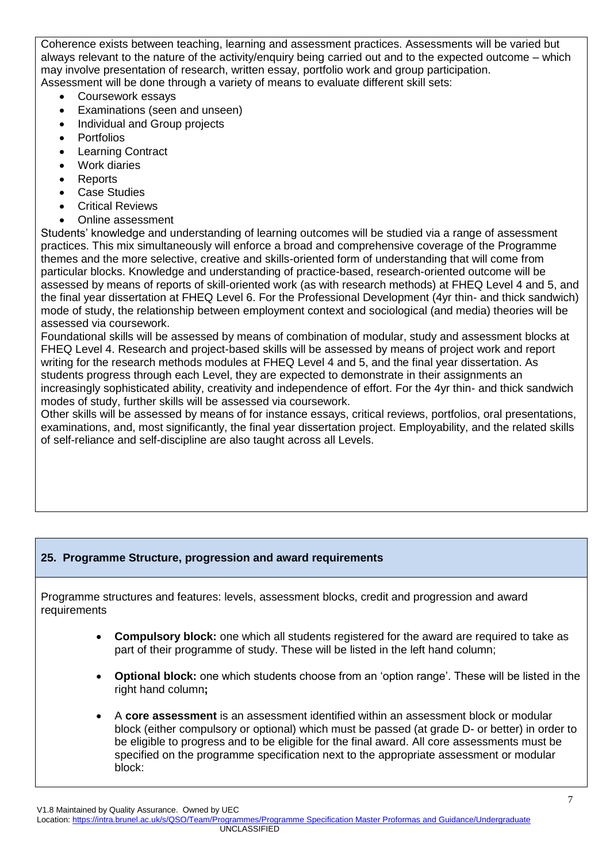Coherence exists between teaching, learning and assessment practices. Assessments will be varied but always relevant to the nature of the activity/enquiry being carried out and to the expected outcome – which may involve presentation of research, written essay, portfolio work and group participation. Assessment will be done through a variety of means to evaluate different skill sets:

- Coursework essays
- Examinations (seen and unseen)
- Individual and Group projects
- Portfolios
- Learning Contract
- Work diaries
- Reports
- Case Studies
- **Critical Reviews**
- Online assessment

Students' knowledge and understanding of learning outcomes will be studied via a range of assessment practices. This mix simultaneously will enforce a broad and comprehensive coverage of the Programme themes and the more selective, creative and skills-oriented form of understanding that will come from particular blocks. Knowledge and understanding of practice-based, research-oriented outcome will be assessed by means of reports of skill-oriented work (as with research methods) at FHEQ Level 4 and 5, and the final year dissertation at FHEQ Level 6. For the Professional Development (4yr thin- and thick sandwich) mode of study, the relationship between employment context and sociological (and media) theories will be assessed via coursework.

Foundational skills will be assessed by means of combination of modular, study and assessment blocks at FHEQ Level 4. Research and project-based skills will be assessed by means of project work and report writing for the research methods modules at FHEQ Level 4 and 5, and the final year dissertation. As students progress through each Level, they are expected to demonstrate in their assignments an increasingly sophisticated ability, creativity and independence of effort. For the 4yr thin- and thick sandwich modes of study, further skills will be assessed via coursework.

Other skills will be assessed by means of for instance essays, critical reviews, portfolios, oral presentations, examinations, and, most significantly, the final year dissertation project. Employability, and the related skills of self-reliance and self-discipline are also taught across all Levels.

### **25. Programme Structure, progression and award requirements**

Programme structures and features: levels, assessment blocks, credit and progression and award requirements

- **Compulsory block:** one which all students registered for the award are required to take as part of their programme of study. These will be listed in the left hand column;
- **Optional block:** one which students choose from an 'option range'. These will be listed in the right hand column**;**
- A **core assessment** is an assessment identified within an assessment block or modular block (either compulsory or optional) which must be passed (at grade D- or better) in order to be eligible to progress and to be eligible for the final award. All core assessments must be specified on the programme specification next to the appropriate assessment or modular block:

V1.8 Maintained by Quality Assurance. Owned by UEC

Location[: https://intra.brunel.ac.uk/s/QSO/Team/Programmes/Programme Specification Master Proformas and Guidance/Undergraduate](https://intra.brunel.ac.uk/s/QSO/Team/Programmes/Templates%20and%20Proformas/Undergraduate) UNCLASSIFIED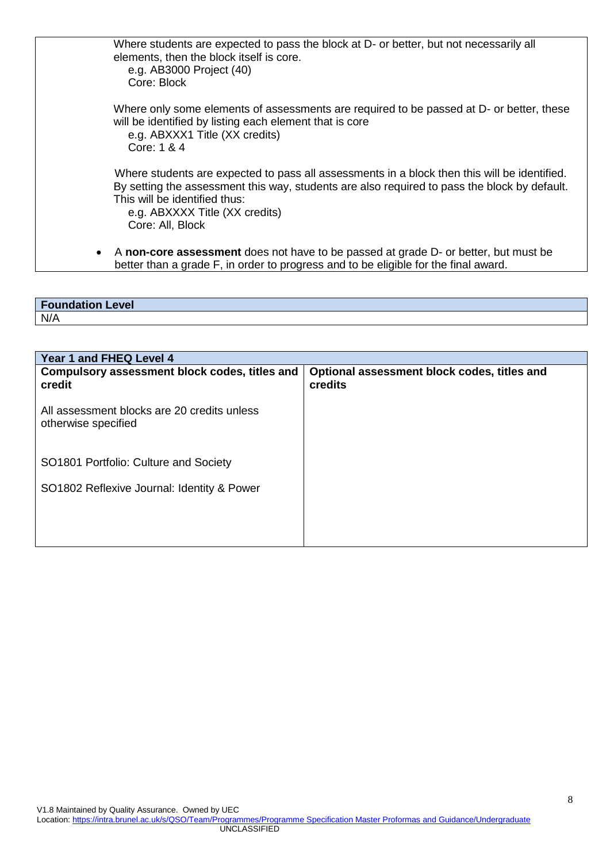Where students are expected to pass the block at D- or better, but not necessarily all elements, then the block itself is core. e.g. AB3000 Project (40) Core: Block Where only some elements of assessments are required to be passed at D- or better, these will be identified by listing each element that is core e.g. ABXXX1 Title (XX credits) Core: 1 & 4 Where students are expected to pass all assessments in a block then this will be identified. By setting the assessment this way, students are also required to pass the block by default. This will be identified thus: e.g. ABXXXX Title (XX credits) Core: All, Block • A **non-core assessment** does not have to be passed at grade D- or better, but must be better than a grade F, in order to progress and to be eligible for the final award.

| <b>E</b> oundation<br>oundation Level <sup>.</sup> |  |
|----------------------------------------------------|--|
| N/A                                                |  |

| Year 1 and FHEQ Level 4                                            |                                                        |  |  |
|--------------------------------------------------------------------|--------------------------------------------------------|--|--|
| Compulsory assessment block codes, titles and<br>credit            | Optional assessment block codes, titles and<br>credits |  |  |
| All assessment blocks are 20 credits unless<br>otherwise specified |                                                        |  |  |
| SO1801 Portfolio: Culture and Society                              |                                                        |  |  |
| SO1802 Reflexive Journal: Identity & Power                         |                                                        |  |  |
|                                                                    |                                                        |  |  |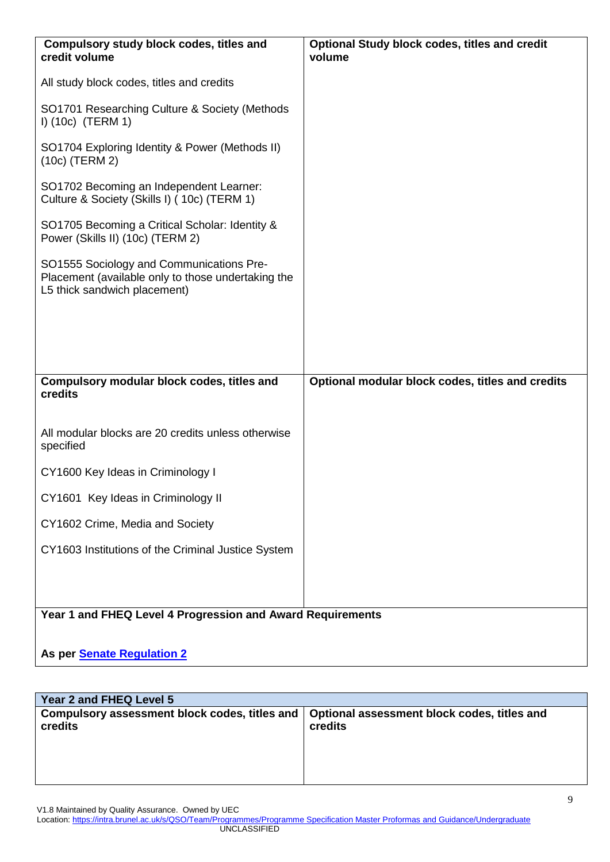| Compulsory study block codes, titles and<br>credit volume                                                                      | Optional Study block codes, titles and credit<br>volume |
|--------------------------------------------------------------------------------------------------------------------------------|---------------------------------------------------------|
| All study block codes, titles and credits                                                                                      |                                                         |
| SO1701 Researching Culture & Society (Methods<br>$I)$ (10c) (TERM 1)                                                           |                                                         |
| SO1704 Exploring Identity & Power (Methods II)<br>$(10c)$ (TERM 2)                                                             |                                                         |
| SO1702 Becoming an Independent Learner:<br>Culture & Society (Skills I) (10c) (TERM 1)                                         |                                                         |
| SO1705 Becoming a Critical Scholar: Identity &<br>Power (Skills II) (10c) (TERM 2)                                             |                                                         |
| SO1555 Sociology and Communications Pre-<br>Placement (available only to those undertaking the<br>L5 thick sandwich placement) |                                                         |
|                                                                                                                                |                                                         |
|                                                                                                                                |                                                         |
|                                                                                                                                |                                                         |
| Compulsory modular block codes, titles and<br>credits                                                                          | Optional modular block codes, titles and credits        |
|                                                                                                                                |                                                         |
| All modular blocks are 20 credits unless otherwise<br>specified                                                                |                                                         |
| CY1600 Key Ideas in Criminology I                                                                                              |                                                         |
| CY1601 Key Ideas in Criminology II                                                                                             |                                                         |
| CY1602 Crime, Media and Society                                                                                                |                                                         |
| CY1603 Institutions of the Criminal Justice System                                                                             |                                                         |
|                                                                                                                                |                                                         |
|                                                                                                                                |                                                         |
| Year 1 and FHEQ Level 4 Progression and Award Requirements                                                                     |                                                         |
|                                                                                                                                |                                                         |

# **As per [Senate Regulation 2](http://www.brunel.ac.uk/about/administration/senate-regulations)**

| Year 2 and FHEQ Level 5                                                                                |         |
|--------------------------------------------------------------------------------------------------------|---------|
| Compulsory assessment block codes, titles and   Optional assessment block codes, titles and<br>credits | credits |

V1.8 Maintained by Quality Assurance. Owned by UEC

Location[: https://intra.brunel.ac.uk/s/QSO/Team/Programmes/Programme Specification Master Proformas and Guidance/Undergraduate](https://intra.brunel.ac.uk/s/QSO/Team/Programmes/Templates%20and%20Proformas/Undergraduate) UNCLASSIFIED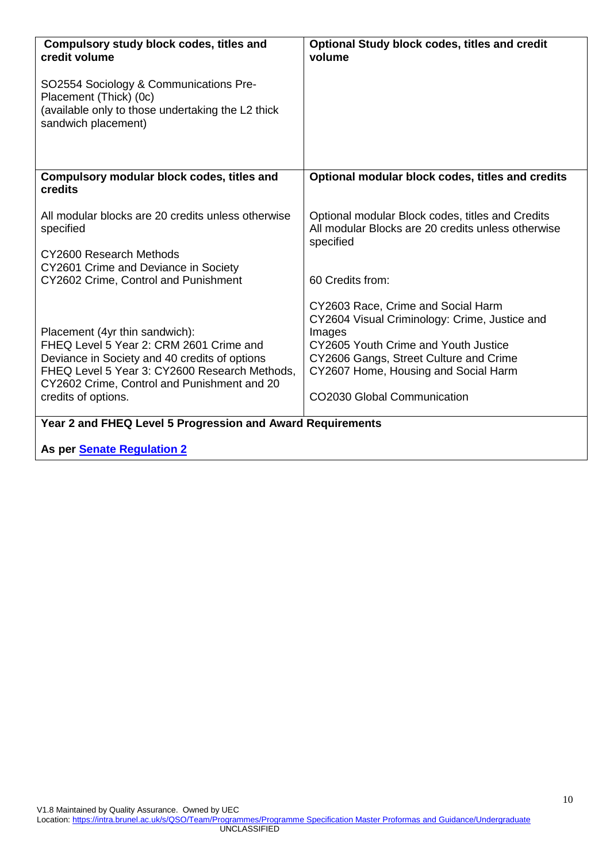| Compulsory study block codes, titles and<br>credit volume                                                                                                                                                                                         | Optional Study block codes, titles and credit<br>volume                                                                                                                                                                                                |
|---------------------------------------------------------------------------------------------------------------------------------------------------------------------------------------------------------------------------------------------------|--------------------------------------------------------------------------------------------------------------------------------------------------------------------------------------------------------------------------------------------------------|
| SO2554 Sociology & Communications Pre-<br>Placement (Thick) (0c)<br>(available only to those undertaking the L2 thick<br>sandwich placement)                                                                                                      |                                                                                                                                                                                                                                                        |
| Compulsory modular block codes, titles and<br>credits                                                                                                                                                                                             | Optional modular block codes, titles and credits                                                                                                                                                                                                       |
| All modular blocks are 20 credits unless otherwise<br>specified                                                                                                                                                                                   | Optional modular Block codes, titles and Credits<br>All modular Blocks are 20 credits unless otherwise<br>specified                                                                                                                                    |
| CY2600 Research Methods<br>CY2601 Crime and Deviance in Society<br>CY2602 Crime, Control and Punishment                                                                                                                                           | 60 Credits from:                                                                                                                                                                                                                                       |
| Placement (4yr thin sandwich):<br>FHEQ Level 5 Year 2: CRM 2601 Crime and<br>Deviance in Society and 40 credits of options<br>FHEQ Level 5 Year 3: CY2600 Research Methods,<br>CY2602 Crime, Control and Punishment and 20<br>credits of options. | CY2603 Race, Crime and Social Harm<br>CY2604 Visual Criminology: Crime, Justice and<br>Images<br>CY2605 Youth Crime and Youth Justice<br>CY2606 Gangs, Street Culture and Crime<br>CY2607 Home, Housing and Social Harm<br>CO2030 Global Communication |
| Year 2 and FHEQ Level 5 Progression and Award Requirements                                                                                                                                                                                        |                                                                                                                                                                                                                                                        |
| Ac nor Sangta Daquistion 2                                                                                                                                                                                                                        |                                                                                                                                                                                                                                                        |

**As per [Senate Regulation 2](http://www.brunel.ac.uk/about/administration/senate-regulations)**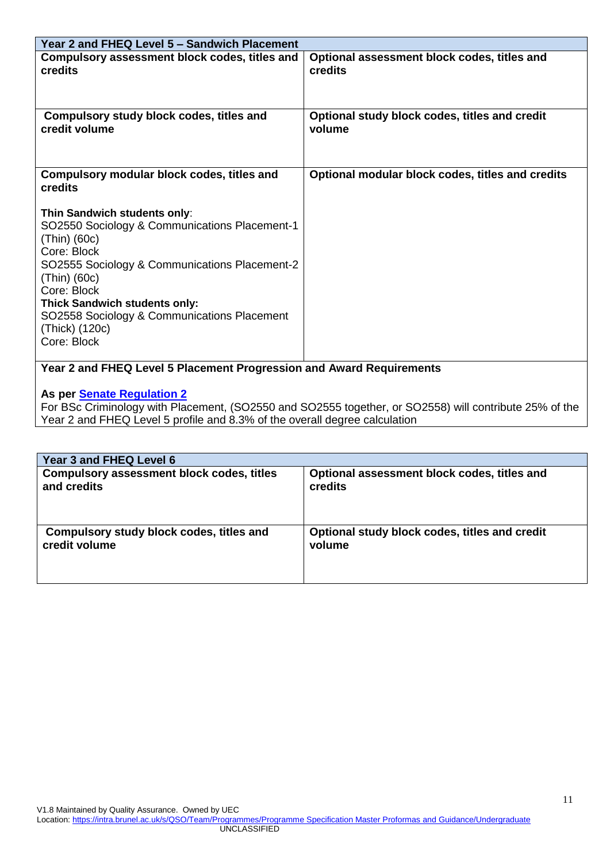| Year 2 and FHEQ Level 5 - Sandwich Placement                                                                                                                                                                                                                                                                               |                                                         |  |  |  |
|----------------------------------------------------------------------------------------------------------------------------------------------------------------------------------------------------------------------------------------------------------------------------------------------------------------------------|---------------------------------------------------------|--|--|--|
| Compulsory assessment block codes, titles and<br>credits                                                                                                                                                                                                                                                                   | Optional assessment block codes, titles and<br>credits  |  |  |  |
| Compulsory study block codes, titles and<br>credit volume                                                                                                                                                                                                                                                                  | Optional study block codes, titles and credit<br>volume |  |  |  |
| Compulsory modular block codes, titles and<br>credits                                                                                                                                                                                                                                                                      | Optional modular block codes, titles and credits        |  |  |  |
| Thin Sandwich students only:<br>SO2550 Sociology & Communications Placement-1<br>$(Think)$ (60c)<br>Core: Block<br>SO2555 Sociology & Communications Placement-2<br>$(Think)$ (60c)<br>Core: Block<br><b>Thick Sandwich students only:</b><br>SO2558 Sociology & Communications Placement<br>(Thick) (120c)<br>Core: Block |                                                         |  |  |  |
| Year 2 and FHEQ Level 5 Placement Progression and Award Requirements                                                                                                                                                                                                                                                       |                                                         |  |  |  |

#### **As per [Senate Regulation 2](http://www.brunel.ac.uk/about/administration/senate-regulations)**

For BSc Criminology with Placement, (SO2550 and SO2555 together, or SO2558) will contribute 25% of the Year 2 and FHEQ Level 5 profile and 8.3% of the overall degree calculation

| Year 3 and FHEQ Level 6                          |                                               |
|--------------------------------------------------|-----------------------------------------------|
| <b>Compulsory assessment block codes, titles</b> | Optional assessment block codes, titles and   |
| and credits                                      | credits                                       |
| Compulsory study block codes, titles and         | Optional study block codes, titles and credit |
| credit volume                                    | volume                                        |